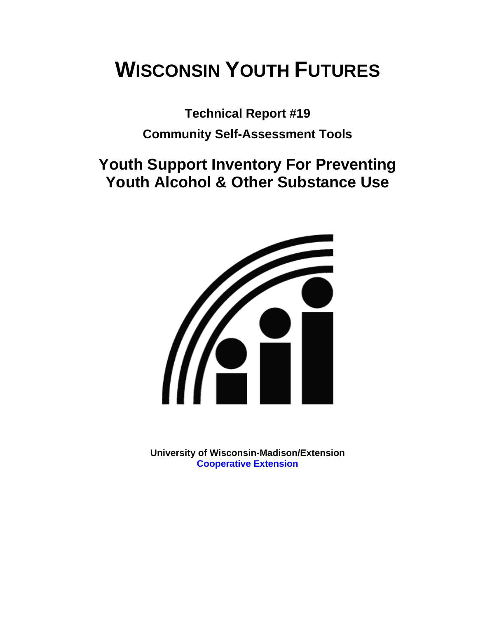# **WISCONSIN YOUTH FUTURES**

**Technical Report #19** 

**Community Self-Assessment Tools** 

# **Youth Support Inventory For Preventing Youth Alcohol & Other Substance Use**



**University of Wisconsin-Madison/Extension [Cooperative Extension](http://www1.uwex.edu/ces/index.cfm)**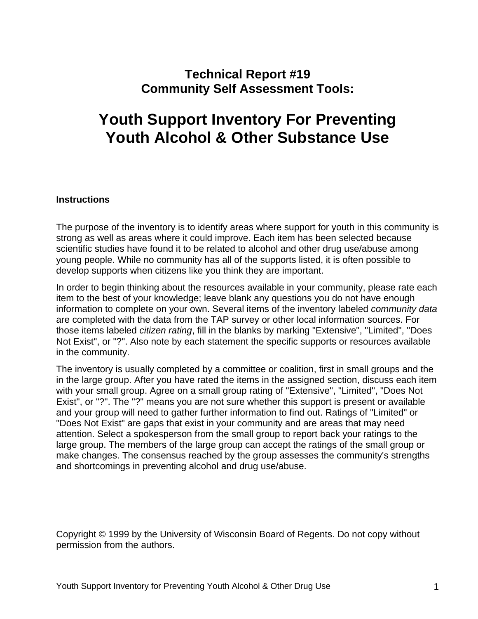## **Technical Report #19 Community Self Assessment Tools:**

# **Youth Support Inventory For Preventing Youth Alcohol & Other Substance Use**

#### **Instructions**

The purpose of the inventory is to identify areas where support for youth in this community is strong as well as areas where it could improve. Each item has been selected because scientific studies have found it to be related to alcohol and other drug use/abuse among young people. While no community has all of the supports listed, it is often possible to develop supports when citizens like you think they are important.

In order to begin thinking about the resources available in your community, please rate each item to the best of your knowledge; leave blank any questions you do not have enough information to complete on your own. Several items of the inventory labeled *community data* are completed with the data from the TAP survey or other local information sources. For those items labeled *citizen rating*, fill in the blanks by marking "Extensive", "Limited", "Does Not Exist", or "?". Also note by each statement the specific supports or resources available in the community.

The inventory is usually completed by a committee or coalition, first in small groups and the in the large group. After you have rated the items in the assigned section, discuss each item with your small group. Agree on a small group rating of "Extensive", "Limited", "Does Not Exist", or "?". The "?" means you are not sure whether this support is present or available and your group will need to gather further information to find out. Ratings of "Limited" or "Does Not Exist" are gaps that exist in your community and are areas that may need attention. Select a spokesperson from the small group to report back your ratings to the large group. The members of the large group can accept the ratings of the small group or make changes. The consensus reached by the group assesses the community's strengths and shortcomings in preventing alcohol and drug use/abuse.

Copyright © 1999 by the University of Wisconsin Board of Regents. Do not copy without permission from the authors.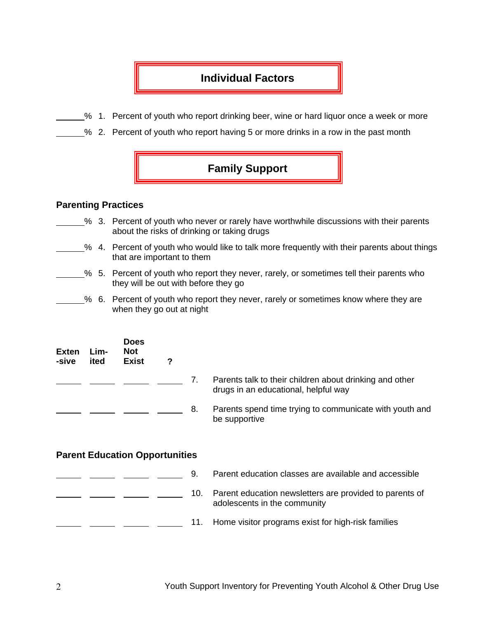### **Individual Factors**

- % 1. Percent of youth who report drinking beer, wine or hard liquor once a week or more
- % 2. Percent of youth who report having 5 or more drinks in a row in the past month



#### **Parenting Practices**

- % 3. Percent of youth who never or rarely have worthwhile discussions with their parents about the risks of drinking or taking drugs
	- % 4. Percent of youth who would like to talk more frequently with their parents about things that are important to them
	- % 5. Percent of youth who report they never, rarely, or sometimes tell their parents who they will be out with before they go
- % 6. Percent of youth who report they never, rarely or sometimes know where they are when they go out at night

| Exten<br>-sive | Lim-<br>ited | <b>Does</b><br><b>Not</b><br><b>Exist</b> |    |                                                                                                 |
|----------------|--------------|-------------------------------------------|----|-------------------------------------------------------------------------------------------------|
|                |              |                                           | 7. | Parents talk to their children about drinking and other<br>drugs in an educational, helpful way |
|                |              |                                           | 8. | Parents spend time trying to communicate with youth and<br>be supportive                        |

#### **Parent Education Opportunities**

9. Parent education classes are available and accessible 10. Parent education newsletters are provided to parents of adolescents in the community 11. Home visitor programs exist for high-risk families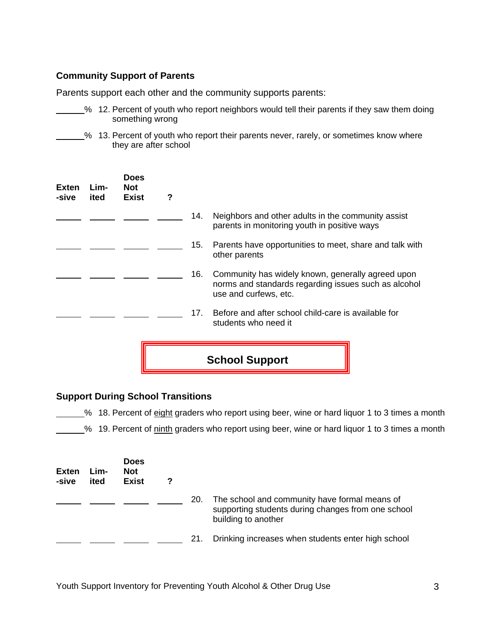#### **Community Support of Parents**

Parents support each other and the community supports parents:

- % 12. Percent of youth who report neighbors would tell their parents if they saw them doing something wrong
	- % 13. Percent of youth who report their parents never, rarely, or sometimes know where they are after school

| <b>Exten</b><br>-sive | Lim-<br>ited | <b>Does</b><br><b>Not</b><br><b>Exist</b> | ? |     |                                                                                                                                    |
|-----------------------|--------------|-------------------------------------------|---|-----|------------------------------------------------------------------------------------------------------------------------------------|
|                       |              |                                           |   | 14. | Neighbors and other adults in the community assist<br>parents in monitoring youth in positive ways                                 |
|                       |              |                                           |   | 15. | Parents have opportunities to meet, share and talk with<br>other parents                                                           |
|                       |              |                                           |   | 16. | Community has widely known, generally agreed upon<br>norms and standards regarding issues such as alcohol<br>use and curfews, etc. |
|                       |              |                                           |   | 17. | Before and after school child-care is available for<br>students who need it                                                        |
|                       |              |                                           |   |     | <b>School Support</b>                                                                                                              |

#### **Support During School Transitions**

5% 18. Percent of eight graders who report using beer, wine or hard liquor 1 to 3 times a month

Ш

% 19. Percent of ninth graders who report using beer, wine or hard liquor 1 to 3 times a month

| Exten<br>-sive | Lim-<br>ited | <b>Does</b><br><b>Not</b><br><b>Exist</b> | ? |     |                                                                                                                            |
|----------------|--------------|-------------------------------------------|---|-----|----------------------------------------------------------------------------------------------------------------------------|
|                |              |                                           |   | 20. | The school and community have formal means of<br>supporting students during changes from one school<br>building to another |
|                |              |                                           |   | 21. | Drinking increases when students enter high school                                                                         |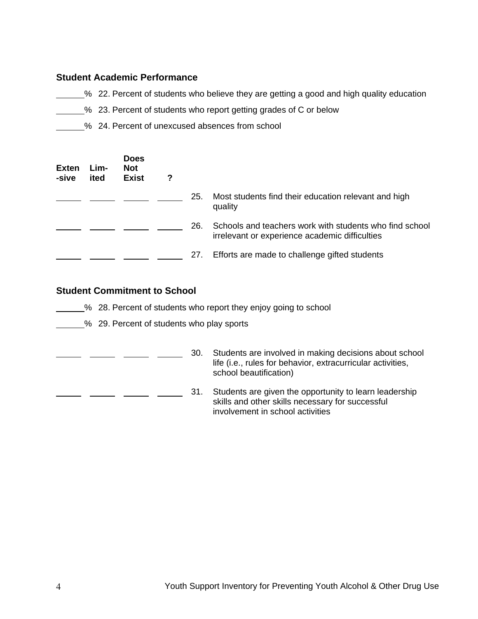#### **Student Academic Performance**

- % 22. Percent of students who believe they are getting a good and high quality education
- **23. Percent of students who report getting grades of C or below**
- % 24. Percent of unexcused absences from school

| <b>Exten</b><br>-sive | Lim-<br>ited | Does<br><b>Not</b><br><b>Exist</b> | ? |     |                                                                                                           |
|-----------------------|--------------|------------------------------------|---|-----|-----------------------------------------------------------------------------------------------------------|
|                       |              |                                    |   | 25. | Most students find their education relevant and high<br>quality                                           |
|                       |              |                                    |   | 26. | Schools and teachers work with students who find school<br>irrelevant or experience academic difficulties |
|                       |              |                                    |   | 27. | Efforts are made to challenge gifted students                                                             |

#### **Student Commitment to School**

- **28. Percent of students who report they enjoy going to school**
- % 29. Percent of students who play sports
	- **20.** Students are involved in making decisions about school life (i.e., rules for behavior, extracurricular activities, school beautification)
	- **EXECUTE: EXECUTE:** 21. Students are given the opportunity to learn leadership skills and other skills necessary for successful involvement in school activities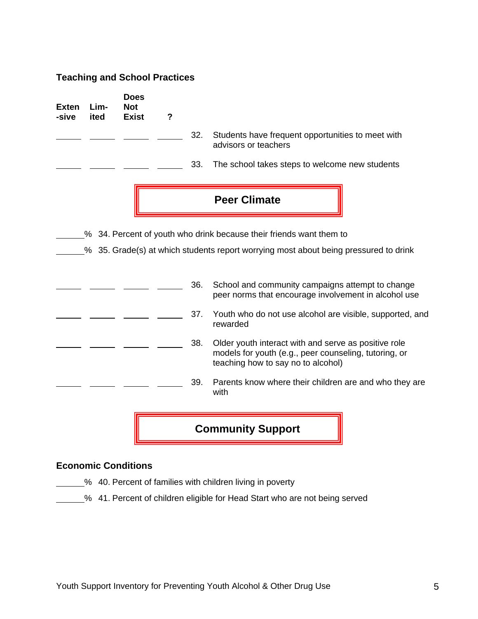#### **Teaching and School Practices**

| <b>Exten</b><br>-sive | Lim-<br>ited | <b>Does</b><br><b>Not</b><br><b>Exist</b> | $\overline{\mathbf{?}}$ |     |                                                                                                                                                     |
|-----------------------|--------------|-------------------------------------------|-------------------------|-----|-----------------------------------------------------------------------------------------------------------------------------------------------------|
|                       |              |                                           |                         | 32. | Students have frequent opportunities to meet with<br>advisors or teachers                                                                           |
|                       |              |                                           |                         | 33. | The school takes steps to welcome new students                                                                                                      |
|                       |              |                                           |                         |     | <b>Peer Climate</b>                                                                                                                                 |
|                       |              |                                           |                         |     | % 34. Percent of youth who drink because their friends want them to                                                                                 |
|                       |              |                                           |                         |     | % 35. Grade(s) at which students report worrying most about being pressured to drink                                                                |
|                       |              |                                           |                         | 36. | School and community campaigns attempt to change<br>peer norms that encourage involvement in alcohol use                                            |
|                       |              |                                           |                         | 37. | Youth who do not use alcohol are visible, supported, and<br>rewarded                                                                                |
|                       |              |                                           |                         | 38. | Older youth interact with and serve as positive role<br>models for youth (e.g., peer counseling, tutoring, or<br>teaching how to say no to alcohol) |
|                       |              |                                           |                         | 39. | Parents know where their children are and who they are<br>with                                                                                      |
|                       |              |                                           |                         |     | <b>Community Support</b>                                                                                                                            |

#### **Economic Conditions**

- **120.** % 40. Percent of families with children living in poverty
- **2008** 41. Percent of children eligible for Head Start who are not being served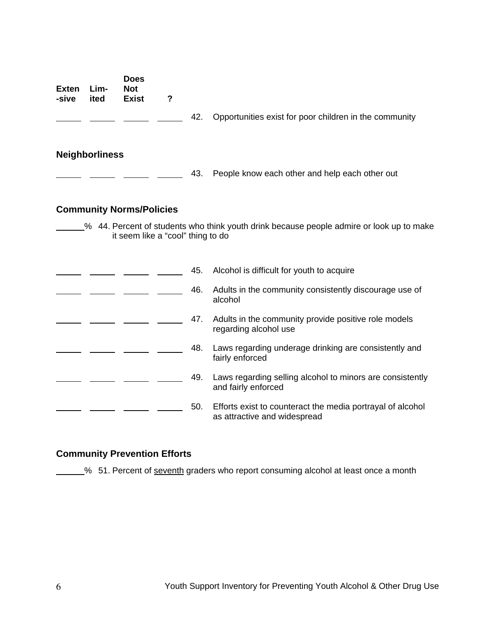| <b>Exten</b><br>-sive | Lim-<br>ited          | <b>Does</b><br><b>Not</b><br><b>Exist</b> | $\boldsymbol{?}$ |     |                                                                                            |
|-----------------------|-----------------------|-------------------------------------------|------------------|-----|--------------------------------------------------------------------------------------------|
|                       |                       |                                           |                  | 42. | Opportunities exist for poor children in the community                                     |
|                       | <b>Neighborliness</b> |                                           |                  |     |                                                                                            |
|                       |                       |                                           |                  | 43. | People know each other and help each other out                                             |
|                       |                       | <b>Community Norms/Policies</b>           |                  |     |                                                                                            |
|                       |                       | it seem like a "cool" thing to do         |                  |     | % 44. Percent of students who think youth drink because people admire or look up to make   |
|                       |                       |                                           |                  | 45. | Alcohol is difficult for youth to acquire                                                  |
|                       |                       |                                           |                  | 46. | Adults in the community consistently discourage use of<br>alcohol                          |
|                       |                       |                                           |                  | 47. | Adults in the community provide positive role models<br>regarding alcohol use              |
|                       |                       |                                           |                  | 48. | Laws regarding underage drinking are consistently and<br>fairly enforced                   |
|                       |                       |                                           |                  | 49. | Laws regarding selling alcohol to minors are consistently<br>and fairly enforced           |
|                       |                       |                                           |                  | 50. | Efforts exist to counteract the media portrayal of alcohol<br>as attractive and widespread |

### **Community Prevention Efforts**

51. Percent of seventh graders who report consuming alcohol at least once a month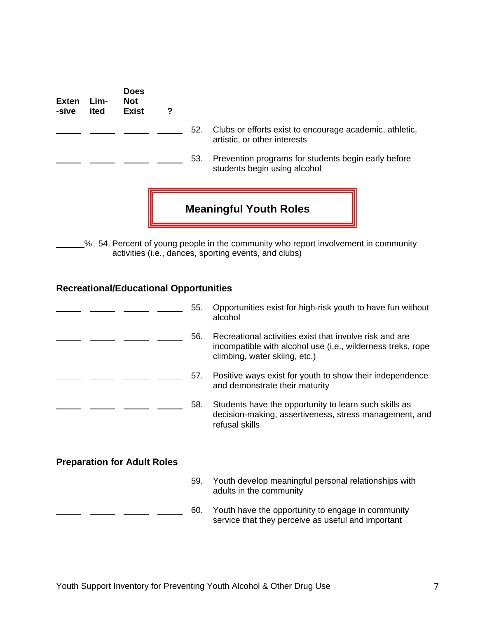| Exten<br>-sive | Lim-<br>ited | <b>Does</b><br><b>Not</b><br><b>Exist</b> | ?   |                                                                                         |
|----------------|--------------|-------------------------------------------|-----|-----------------------------------------------------------------------------------------|
|                |              |                                           | 52. | Clubs or efforts exist to encourage academic, athletic,<br>artistic, or other interests |
|                |              |                                           | 53. | Prevention programs for students begin early before<br>students begin using alcohol     |
|                |              |                                           |     | <b>Meaningful Youth Roles</b>                                                           |

% 54. Percent of young people in the community who report involvement in community activities (i.e., dances, sporting events, and clubs)

#### **Recreational/Educational Opportunities**

|                                    | 55. | Opportunities exist for high-risk youth to have fun without<br>alcohol                                                                                  |
|------------------------------------|-----|---------------------------------------------------------------------------------------------------------------------------------------------------------|
|                                    | 56. | Recreational activities exist that involve risk and are<br>incompatible with alcohol use (i.e., wilderness treks, rope<br>climbing, water skiing, etc.) |
|                                    | 57. | Positive ways exist for youth to show their independence<br>and demonstrate their maturity                                                              |
|                                    | 58. | Students have the opportunity to learn such skills as<br>decision-making, assertiveness, stress management, and<br>refusal skills                       |
| <b>Preparation for Adult Roles</b> |     |                                                                                                                                                         |
|                                    | 59. | Youth develop meaningful personal relationships with<br>adults in the community                                                                         |
|                                    | 60. | Youth have the opportunity to engage in community<br>service that they perceive as useful and important                                                 |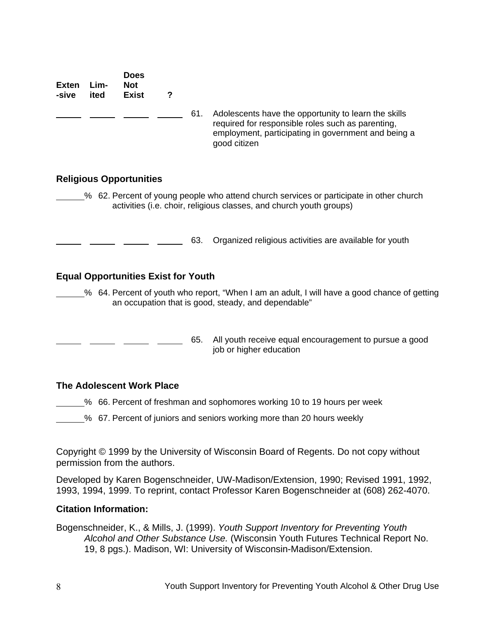**Exten Lim--sive ited Does Not Exist ?**  61. Adolescents have the opportunity to learn the skills required for responsible roles such as parenting, employment, participating in government and being a good citizen **Religious Opportunities**  % 62. Percent of young people who attend church services or participate in other church activities (i.e. choir, religious classes, and church youth groups) <sup>1</sup> [63. Organized religious activities are available for youth **Equal Opportunities Exist for Youth**  % 64. Percent of youth who report, "When I am an adult, I will have a good chance of getting an occupation that is good, steady, and dependable" 65. All youth receive equal encouragement to pursue a good job or higher education **The Adolescent Work Place**  % 66. Percent of freshman and sophomores working 10 to 19 hours per week % 67. Percent of juniors and seniors working more than 20 hours weekly Copyright © 1999 by the University of Wisconsin Board of Regents. Do not copy without permission from the authors. Developed by Karen Bogenschneider, UW-Madison/Extension, 1990; Revised 1991, 1992, 1993, 1994, 1999. To reprint, contact Professor Karen Bogenschneider at (608) 262-4070.

#### **Citation Information:**

Bogenschneider, K., & Mills, J. (1999). *Youth Support Inventory for Preventing Youth Alcohol and Other Substance Use.* (Wisconsin Youth Futures Technical Report No. 19, 8 pgs.). Madison, WI: University of Wisconsin-Madison/Extension.